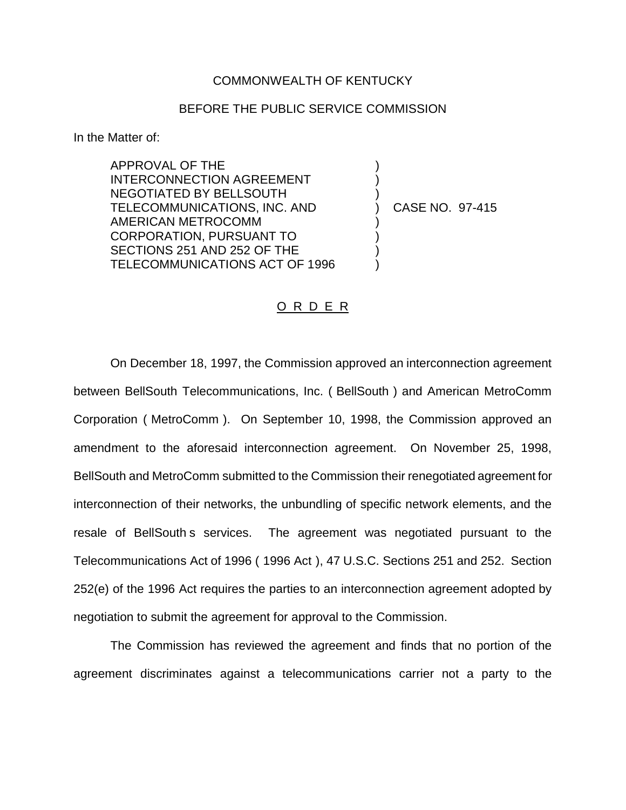## COMMONWEALTH OF KENTUCKY

## BEFORE THE PUBLIC SERVICE COMMISSION

) ) )

) ) ) )

In the Matter of:

APPROVAL OF THE INTERCONNECTION AGREEMENT NEGOTIATED BY BELLSOUTH TELECOMMUNICATIONS, INC. AND AMERICAN METROCOMM CORPORATION, PURSUANT TO SECTIONS 251 AND 252 OF THE TELECOMMUNICATIONS ACT OF 1996

) CASE NO. 97-415

## O R D E R

On December 18, 1997, the Commission approved an interconnection agreement between BellSouth Telecommunications, Inc. ( BellSouth ) and American MetroComm Corporation ( MetroComm ). On September 10, 1998, the Commission approved an amendment to the aforesaid interconnection agreement. On November 25, 1998, BellSouth and MetroComm submitted to the Commission their renegotiated agreement for interconnection of their networks, the unbundling of specific network elements, and the resale of BellSouth s services. The agreement was negotiated pursuant to the Telecommunications Act of 1996 ( 1996 Act ), 47 U.S.C. Sections 251 and 252. Section 252(e) of the 1996 Act requires the parties to an interconnection agreement adopted by negotiation to submit the agreement for approval to the Commission.

The Commission has reviewed the agreement and finds that no portion of the agreement discriminates against a telecommunications carrier not a party to the